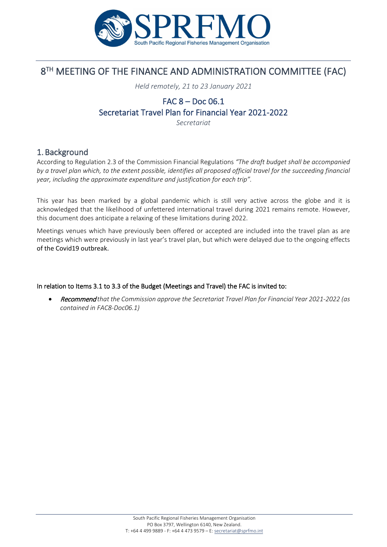

# 8<sup>TH</sup> MEETING OF THE FINANCE AND ADMINISTRATION COMMITTEE (FAC)

*Held remotely, 21 to 23 January 2021*

# FAC 8 – Doc 06.1 Secretariat Travel Plan for Financial Year 2021-2022

*Secretariat*

### 1.Background

According to Regulation 2.3 of the Commission Financial Regulations *"The draft budget shall be accompanied by a travel plan which, to the extent possible, identifies all proposed official travel for the succeeding financial year, including the approximate expenditure and justification for each trip".*

This year has been marked by a global pandemic which is still very active across the globe and it is acknowledged that the likelihood of unfettered international travel during 2021 remains remote. However, this document does anticipate a relaxing of these limitations during 2022.

Meetings venues which have previously been offered or accepted are included into the travel plan as are meetings which were previously in last year's travel plan, but which were delayed due to the ongoing effects of the Covid19 outbreak.

### In relation to Items 3.1 to 3.3 of the Budget (Meetings and Travel) the FAC is invited to:

• Recommend *that the Commission approve the Secretariat Travel Plan for Financial Year 2021-2022 (as contained in FAC8-Doc06.1)*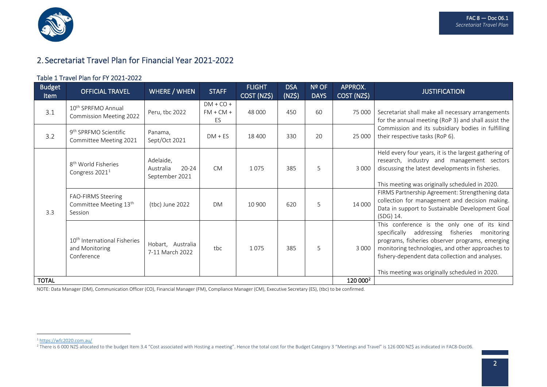<span id="page-1-1"></span><span id="page-1-0"></span>

## 2. Secretariat Travel Plan for Financial Year 2021-2022

#### Table 1 Travel Plan for FY 2021-2022

| <b>Budget</b><br>Item | <b>OFFICIAL TRAVEL</b>                                                   | <b>WHERE / WHEN</b>                                   | <b>STAFF</b>                     | <b>FLIGHT</b><br>COST (NZ\$) | <b>DSA</b><br>(NZ\$) | Nº OF<br><b>DAYS</b> | APPROX.<br>COST (NZ\$) | <b>JUSTIFICATION</b>                                                                                                                                                                                                                                                                                       |
|-----------------------|--------------------------------------------------------------------------|-------------------------------------------------------|----------------------------------|------------------------------|----------------------|----------------------|------------------------|------------------------------------------------------------------------------------------------------------------------------------------------------------------------------------------------------------------------------------------------------------------------------------------------------------|
| 3.1                   | 10 <sup>th</sup> SPRFMO Annual<br><b>Commission Meeting 2022</b>         | Peru, tbc 2022                                        | $DM + CO +$<br>$FM + CM +$<br>ES | 48 000                       | 450                  | 60                   | 75 000                 | Secretariat shall make all necessary arrangements<br>for the annual meeting (RoP 3) and shall assist the<br>Commission and its subsidiary bodies in fulfilling<br>their respective tasks (RoP 6).                                                                                                          |
| 3.2                   | 9 <sup>th</sup> SPRFMO Scientific<br>Committee Meeting 2021              | Panama,<br>Sept/Oct 2021                              | $DM + ES$                        | 18 400                       | 330                  | 20                   | 25 000                 |                                                                                                                                                                                                                                                                                                            |
| 3.3                   | 8 <sup>th</sup> World Fisheries<br>Congress 2021 <sup>1</sup>            | Adelaide,<br>$20 - 24$<br>Australia<br>September 2021 | <b>CM</b>                        | 1075                         | 385                  | 5                    | 3 0 0 0                | Held every four years, it is the largest gathering of<br>research, industry and management sectors<br>discussing the latest developments in fisheries.<br>This meeting was originally scheduled in 2020.                                                                                                   |
|                       | FAO-FIRMS Steering<br>Committee Meeting 13 <sup>th</sup><br>Session      | (tbc) June 2022                                       | DM                               | 10 900                       | 620                  | 5                    | 14 000                 | FIRMS Partnership Agreement: Strengthening data<br>collection for management and decision making.<br>Data in support to Sustainable Development Goal<br>(SDG) 14.                                                                                                                                          |
|                       | 10 <sup>th</sup> International Fisheries<br>and Monitoring<br>Conference | Hobart, Australia<br>7-11 March 2022                  | tbc                              | 1075                         | 385                  | 5                    | 3 0 0 0                | This conference is the only one of its kind<br>specifically addressing fisheries<br>monitoring<br>programs, fisheries observer programs, emerging<br>monitoring technologies, and other approaches to<br>fishery-dependent data collection and analyses.<br>This meeting was originally scheduled in 2020. |
| <b>TOTAL</b>          |                                                                          |                                                       |                                  |                              |                      |                      | 120 000 <sup>2</sup>   |                                                                                                                                                                                                                                                                                                            |

NOTE: Data Manager (DM), Communication Officer (CO), Financial Manager (FM), Compliance Manager (CM), Executive Secretary (ES), (tbc) to be confirmed.

<sup>2</sup> There is 6 000 NZ\$ allocated to the budget Item 3.4 "Cost associated with Hosting a meeting". Hence the total cost for the Budget Category 3 "Meetings and Travel" is 126 000 NZ\$ as indicated in FAC8-Doc06.

<sup>1</sup> <https://wfc2020.com.au/>